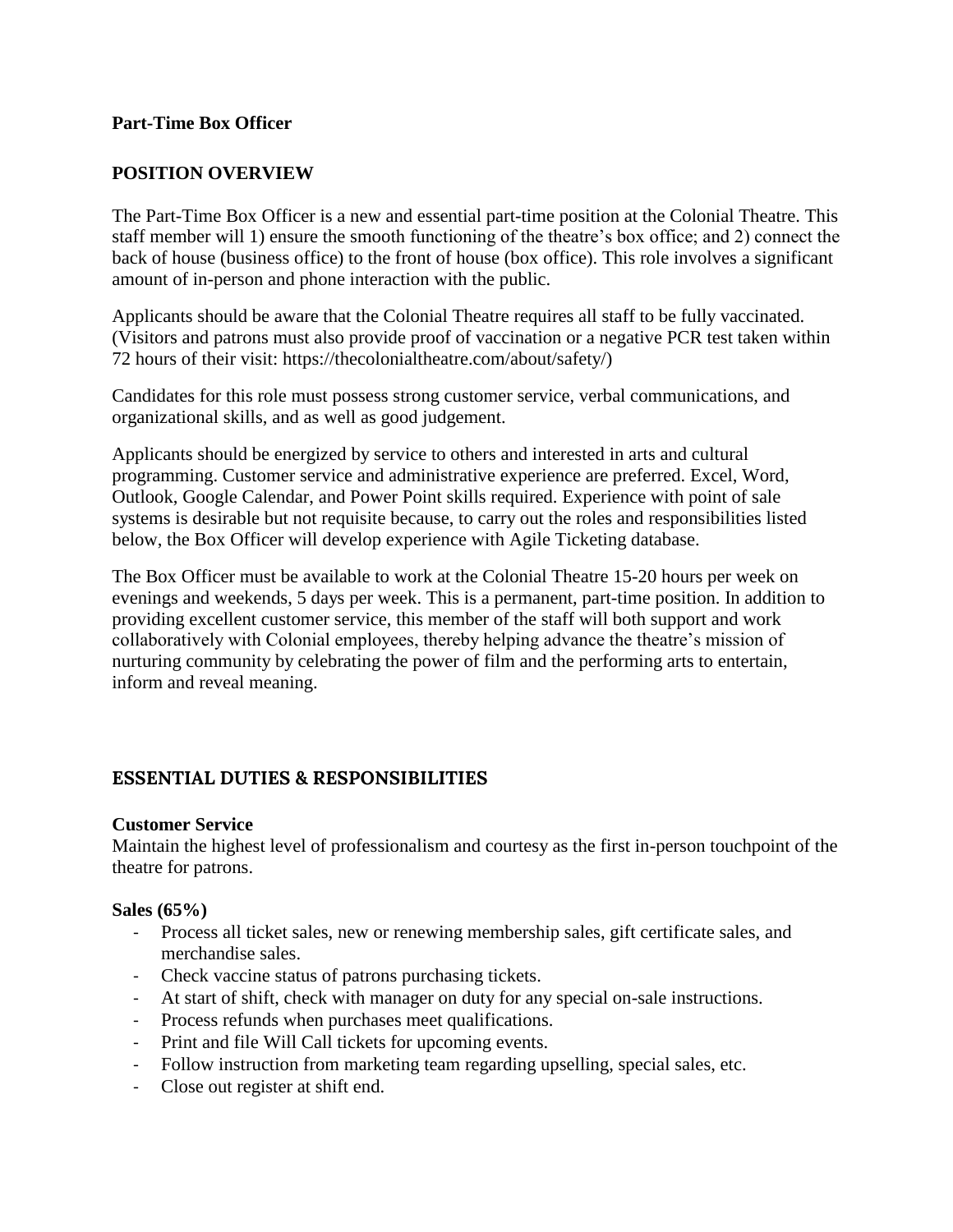## **Part-Time Box Officer**

## **POSITION OVERVIEW**

The Part-Time Box Officer is a new and essential part-time position at the Colonial Theatre. This staff member will 1) ensure the smooth functioning of the theatre's box office; and 2) connect the back of house (business office) to the front of house (box office). This role involves a significant amount of in-person and phone interaction with the public.

Applicants should be aware that the Colonial Theatre requires all staff to be fully vaccinated. (Visitors and patrons must also provide proof of vaccination or a negative PCR test taken within 72 hours of their visit: https://thecolonialtheatre.com/about/safety/)

Candidates for this role must possess strong customer service, verbal communications, and organizational skills, and as well as good judgement.

Applicants should be energized by service to others and interested in arts and cultural programming. Customer service and administrative experience are preferred. Excel, Word, Outlook, Google Calendar, and Power Point skills required. Experience with point of sale systems is desirable but not requisite because, to carry out the roles and responsibilities listed below, the Box Officer will develop experience with Agile Ticketing database.

The Box Officer must be available to work at the Colonial Theatre 15-20 hours per week on evenings and weekends, 5 days per week. This is a permanent, part-time position. In addition to providing excellent customer service, this member of the staff will both support and work collaboratively with Colonial employees, thereby helping advance the theatre's mission of nurturing community by celebrating the power of film and the performing arts to entertain, inform and reveal meaning.

# **ESSENTIAL DUTIES & RESPONSIBILITIES**

#### **Customer Service**

Maintain the highest level of professionalism and courtesy as the first in-person touchpoint of the theatre for patrons.

#### **Sales (65%)**

- Process all ticket sales, new or renewing membership sales, gift certificate sales, and merchandise sales.
- Check vaccine status of patrons purchasing tickets.
- At start of shift, check with manager on duty for any special on-sale instructions.
- Process refunds when purchases meet qualifications.
- Print and file Will Call tickets for upcoming events.
- Follow instruction from marketing team regarding upselling, special sales, etc.
- Close out register at shift end.